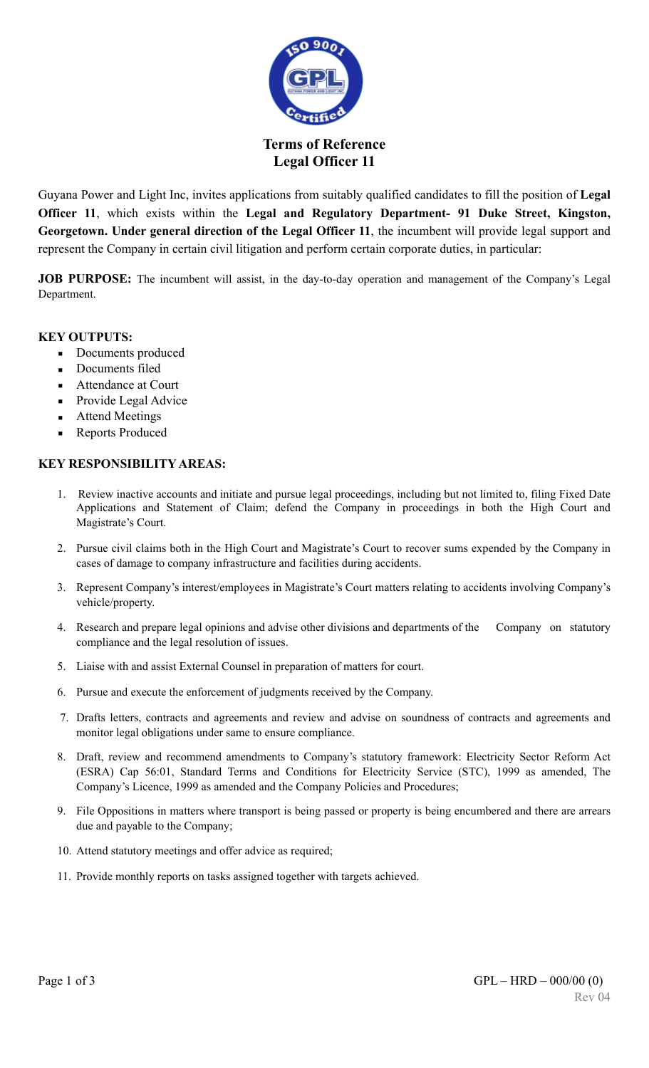

### **Terms of Reference Legal Officer 11**

Guyana Power and Light Inc, invites applications from suitably qualified candidates to fill the position of **Legal Officer 11**, which exists within the **Legal and Regulatory Department- 91 Duke Street, Kingston, Georgetown. Under general direction of the Legal Officer 11**, the incumbent will provide legal support and represent the Company in certain civil litigation and perform certain corporate duties, in particular:

**JOB PURPOSE:** The incumbent will assist, in the day-to-day operation and management of the Company's Legal Department.

#### **KEY OUTPUTS:**

- Documents produced
- Documents filed
- Attendance at Court
- Provide Legal Advice
- **Attend Meetings**
- Reports Produced

#### **KEY RESPONSIBILITY AREAS:**

- 1. Review inactive accounts and initiate and pursue legal proceedings, including but not limited to, filing Fixed Date Applications and Statement of Claim; defend the Company in proceedings in both the High Court and Magistrate's Court.
- 2. Pursue civil claims both in the High Court and Magistrate's Court to recover sums expended by the Company in cases of damage to company infrastructure and facilities during accidents.
- 3. Represent Company's interest/employees in Magistrate's Court matters relating to accidents involving Company's vehicle/property.
- 4. Research and prepare legal opinions and advise other divisions and departments of the Company on statutory compliance and the legal resolution of issues.
- 5. Liaise with and assist External Counsel in preparation of matters for court.
- 6. Pursue and execute the enforcement of judgments received by the Company.
- 7. Drafts letters, contracts and agreements and review and advise on soundness of contracts and agreements and monitor legal obligations under same to ensure compliance.
- 8. Draft, review and recommend amendments to Company's statutory framework: Electricity Sector Reform Act (ESRA) Cap 56:01, Standard Terms and Conditions for Electricity Service (STC), 1999 as amended, The Company's Licence, 1999 as amended and the Company Policies and Procedures;
- 9. File Oppositions in matters where transport is being passed or property is being encumbered and there are arrears due and payable to the Company;
- 10. Attend statutory meetings and offer advice as required;
- 11. Provide monthly reports on tasks assigned together with targets achieved.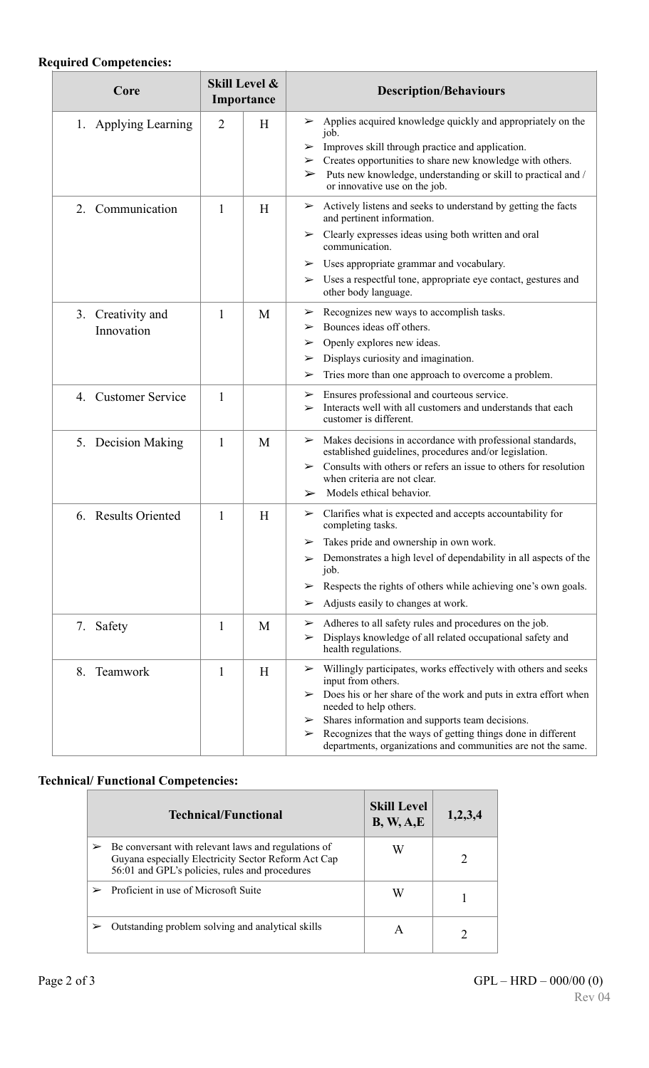# **Required Competencies:**

| Core                            | Skill Level &<br>Importance |   | <b>Description/Behaviours</b>                                                                                                                                                                                                                                                                                                                                                             |  |
|---------------------------------|-----------------------------|---|-------------------------------------------------------------------------------------------------------------------------------------------------------------------------------------------------------------------------------------------------------------------------------------------------------------------------------------------------------------------------------------------|--|
| 1. Applying Learning            | $\overline{2}$              | H | $\triangleright$ Applies acquired knowledge quickly and appropriately on the<br>job.<br>Improves skill through practice and application.<br>➤<br>Creates opportunities to share new knowledge with others.<br>$\blacktriangleright$<br>Puts new knowledge, understanding or skill to practical and /<br>➤<br>or innovative use on the job.                                                |  |
| 2. Communication                | 1                           | H | Actively listens and seeks to understand by getting the facts<br>➤<br>and pertinent information.<br>Clearly expresses ideas using both written and oral<br>➤<br>communication.<br>Uses appropriate grammar and vocabulary.<br>➤<br>Uses a respectful tone, appropriate eye contact, gestures and<br>➤<br>other body language.                                                             |  |
| 3. Creativity and<br>Innovation | 1                           | M | Recognizes new ways to accomplish tasks.<br>➤<br>Bounces ideas off others.<br>➤<br>Openly explores new ideas.<br>➤<br>Displays curiosity and imagination.<br>➤<br>Tries more than one approach to overcome a problem.<br>➤                                                                                                                                                                |  |
| <b>Customer Service</b><br>4.   | 1                           |   | Ensures professional and courteous service.<br>➤<br>Interacts well with all customers and understands that each<br>$\blacktriangleright$<br>customer is different.                                                                                                                                                                                                                        |  |
| 5. Decision Making              | 1                           | M | $\triangleright$ Makes decisions in accordance with professional standards,<br>established guidelines, procedures and/or legislation.<br>$\triangleright$ Consults with others or refers an issue to others for resolution<br>when criteria are not clear.<br>Models ethical behavior.<br>➤                                                                                               |  |
| <b>Results Oriented</b><br>6.   | 1                           | H | Clarifies what is expected and accepts accountability for<br>➤<br>completing tasks.<br>Takes pride and ownership in own work.<br>➤<br>Demonstrates a high level of dependability in all aspects of the<br>$\blacktriangleright$<br>job.<br>Respects the rights of others while achieving one's own goals.<br>➤<br>Adjusts easily to changes at work.<br>➤                                 |  |
| Safety<br>7.                    | 1                           | M | Adheres to all safety rules and procedures on the job.<br>➤<br>Displays knowledge of all related occupational safety and<br>➤<br>health regulations.                                                                                                                                                                                                                                      |  |
| 8.<br>Teamwork                  | 1                           | H | Willingly participates, works effectively with others and seeks<br>➤<br>input from others.<br>Does his or her share of the work and puts in extra effort when<br>➤<br>needed to help others.<br>Shares information and supports team decisions.<br>➤<br>Recognizes that the ways of getting things done in different<br>➤<br>departments, organizations and communities are not the same. |  |

# **Technical/ Functional Competencies:**

|   | Technical/Functional                                                                                                                                         | <b>Skill Level</b><br>B, W, A, E | 1,2,3,4 |
|---|--------------------------------------------------------------------------------------------------------------------------------------------------------------|----------------------------------|---------|
| ➤ | Be conversant with relevant laws and regulations of<br>Guyana especially Electricity Sector Reform Act Cap<br>56:01 and GPL's policies, rules and procedures |                                  |         |
|   | Proficient in use of Microsoft Suite                                                                                                                         | W                                |         |
|   | Outstanding problem solving and analytical skills                                                                                                            |                                  |         |